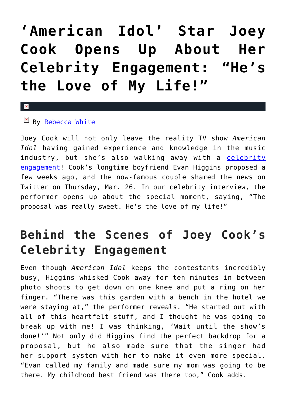## **['American Idol' Star Joey](https://cupidspulse.com/91191/american-idol-joey-cook-celebrity-engagement/) [Cook Opens Up About Her](https://cupidspulse.com/91191/american-idol-joey-cook-celebrity-engagement/) [Celebrity Engagement: "He's](https://cupidspulse.com/91191/american-idol-joey-cook-celebrity-engagement/) [the Love of My Life!"](https://cupidspulse.com/91191/american-idol-joey-cook-celebrity-engagement/)**

## x

 $By$  [Rebecca White](http://cupidspulse.com/104603/rebecca-white/)

Joey Cook will not only leave the reality TV show *American Idol* having gained experience and knowledge in the music industry, but she's also walking away with a [celebrity](http://cupidspulse.com/celebrity-relationships/wedding-engagement/) [engagement](http://cupidspulse.com/celebrity-relationships/wedding-engagement/)! Cook's longtime boyfriend Evan Higgins proposed a few weeks ago, and the now-famous couple shared the news on Twitter on Thursday, Mar. 26. In our celebrity interview, the performer opens up about the special moment, saying, "The proposal was really sweet. He's the love of my life!"

## **Behind the Scenes of Joey Cook's Celebrity Engagement**

Even though *American Idol* keeps the contestants incredibly busy, Higgins whisked Cook away for ten minutes in between photo shoots to get down on one knee and put a ring on her finger. "There was this garden with a bench in the hotel we were staying at," the performer reveals. "He started out with all of this heartfelt stuff, and I thought he was going to break up with me! I was thinking, 'Wait until the show's done!'" Not only did Higgins find the perfect backdrop for a proposal, but he also made sure that the singer had her support system with her to make it even more special. "Evan called my family and made sure my mom was going to be there. My childhood best friend was there too," Cook adds.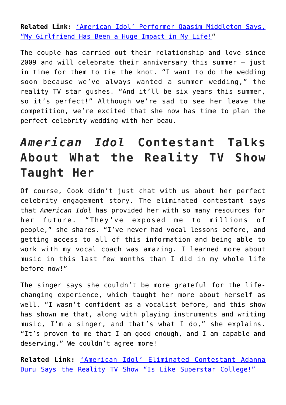**Related Link:** ['American Idol' Performer Qaasim Middleton Says,](http://cupidspulse.com/90742/american-idol-qaasim-middleton-celebrity-interview/) ["My Girlfriend Has Been a Huge Impact in My Life!"](http://cupidspulse.com/90742/american-idol-qaasim-middleton-celebrity-interview/)

The couple has carried out their relationship and love since 2009 and will celebrate their anniversary this summer — just in time for them to tie the knot. "I want to do the wedding soon because we've always wanted a summer wedding," the reality TV star gushes. "And it'll be six years this summer, so it's perfect!" Although we're sad to see her leave the competition, we're excited that she now has time to plan the perfect celebrity wedding with her beau.

## *American Idol* **Contestant Talks About What the Reality TV Show Taught Her**

Of course, Cook didn't just chat with us about her perfect celebrity engagement story. The eliminated contestant says that *American Idol* has provided her with so many resources for her future. "They've exposed me to millions of people," she shares. "I've never had vocal lessons before, and getting access to all of this information and being able to work with my vocal coach was amazing. I learned more about music in this last few months than I did in my whole life before now!"

The singer says she couldn't be more grateful for the lifechanging experience, which taught her more about herself as well. "I wasn't confident as a vocalist before, and this show has shown me that, along with playing instruments and writing music, I'm a singer, and that's what I do," she explains. "It's proven to me that I am good enough, and I am capable and deserving." We couldn't agree more!

**Related Link:** ['American Idol' Eliminated Contestant Adanna](http://cupidspulse.com/89636/american-idol-eliminated-contestant-adanna-duru/) [Duru Says the Reality TV Show "Is Like Superstar College!"](http://cupidspulse.com/89636/american-idol-eliminated-contestant-adanna-duru/)